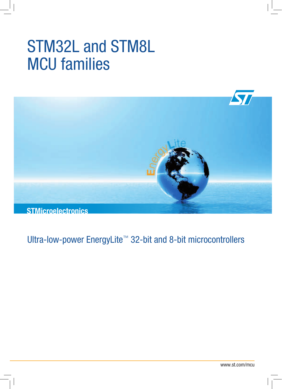# STM32L and STM8L MCU families



Ultra-low-power EnergyLite<sup>™</sup> 32-bit and 8-bit microcontrollers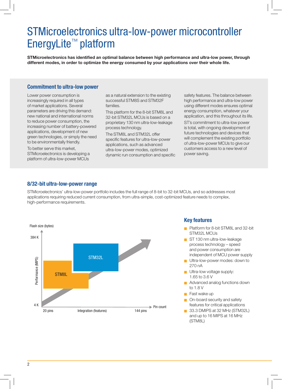## STMicroelectronics ultra‑low‑power microcontroller EnergyLite™ platform

**STMicroelectronics has identified an optimal balance between high performance and ultra‑low power, through different modes, in order to optimize the energy consumed by your applications over their whole life.**

#### **Commitment to ultra‑low power**

Lower power consumption is increasingly required in all types of market applications. Several parameters are driving this demand: new national and international norms to reduce power consumption, the increasing number of battery‑powered applications, development of new green technologies, or simply the need to be environmentally friendly.

To better serve this market, STMicroelectronics is developing a platform of ultra‑low‑power MCUs

as a natural extension to the existing successful STM8S and STM32F families.

This platform for the 8‑bit STM8L and 32‑bit STM32L MCUs is based on a proprietary 130 nm ultra‑low‑leakage process technology.

The STM8L and STM32L offer specific features for ultra-low-power applications, such as advanced ultra‑low‑power modes, optimized dynamic run consumption and specific safety features. The balance between high performance and ultra‑low power using different modes ensures optimal energy consumption, whatever your application, and this throughout its life.

ST's commitment to ultra‑low power is total, with ongoing development of future technologies and devices that will complement the existing portfolio of ultra‑low‑power MCUs to give our customers access to a new level of power saving.

#### **8/32‑bit ultra‑low‑power range**

STMicroelectronics' ultra-low-power portfolio includes the full range of 8-bit to 32-bit MCUs, and so addresses most applications requiring reduced current consumption, from ultra-simple, cost-optimized feature needs to complex, high-performance requirements.



#### **Key features**

- Platform for 8-bit STM8L and 32-bit STM32L MCUs
- ST 130 nm ultra-low-leakage process technology – speed and power consumption are independent of MCU power supply
- Ultra-low-power modes: down to 270 nA
- $\blacksquare$  Ultra-low voltage supply: 1.65 to 3.6 V
- Advanced analog functions down to 1.8 V
- $\blacksquare$  Fast wake up
- $\Box$  On-board security and safety features for critical applications
- 33.3 DMIPS at 32 MHz (STM32L) and up to 16 MIPS at 16 MHz (STM8L)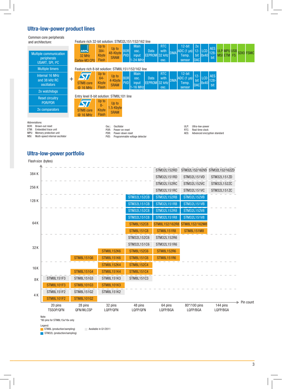#### **Ultra‑low‑power product lines**

Common core peripherals and architect

| <b>OUTHING YOU'VE DUITDING AND</b><br>and architecture:                     |       | Feature rich 32-bit solution: STM32L151/152/162 line                      |                                           |                                   |                          |                                           |                              |                            |             |                                                             |                             |                    |                                  |                                  |  |                  |
|-----------------------------------------------------------------------------|-------|---------------------------------------------------------------------------|-------------------------------------------|-----------------------------------|--------------------------|-------------------------------------------|------------------------------|----------------------------|-------------|-------------------------------------------------------------|-----------------------------|--------------------|----------------------------------|----------------------------------|--|------------------|
| <b>Multiple communication</b><br>peripherals<br>USART, SPI, <sup>12</sup> C |       | <b>ARM</b><br>32 MHz<br>Cortex-M3 CPU                                     | Up to<br>$384 -$<br>Kbyte<br><b>Flash</b> | Up to<br>48-Kbyte<br><b>SRAM</b>  | <b>BOR</b><br><b>PVD</b> | <b>Main</b><br>OSC.<br>input<br>$-24$ MHz | <b>Data</b><br>EEPROM 32 KHz | <b>RTC</b><br>with<br>OSC. | <b>IDMA</b> | $12-bit$<br>$ ADC (1 \mu s)  12 -  LCD $<br>Temp.<br>sensor | 2x<br>DAC                   | bit $ 8x40 $       | <b>AES</b><br>128-<br><b>bit</b> | <b>ULP MPU USB</b><br>MSI ETM FS |  | <b>SDIO FSMC</b> |
| <b>Multiple timers</b>                                                      |       | Feature rich 8-bit solution: STM8L151/152/162 line                        |                                           |                                   |                          |                                           |                              |                            |             |                                                             |                             |                    |                                  |                                  |  |                  |
| Internal 16 MHz<br>and 38 kHz RC<br>oscillators                             | $\pm$ | STM <sub>8</sub> core<br>@ 16 MHz                                         | Up to<br>$64 -$<br>Kbyte<br><b>Flash</b>  | Up to<br>4-Kbyte<br><b>SRAM</b>   | <b>BOR</b><br><b>PVD</b> | <b>Main</b><br>OSC.<br>input<br>$-16$ MHz | <b>Data</b><br>EEPROM 32 KHz | <b>RTC</b><br>with<br>OSC. | <b>IDMA</b> | $12$ -bit<br>ADC $(1 \mu s)$<br>Temp.<br>sensor             | $12 -$<br>bit<br><b>DAC</b> | <b>LCD</b><br>8x40 | <b>AES</b><br>$128 -$<br>bit     |                                  |  |                  |
| 2x watchdogs                                                                |       |                                                                           |                                           |                                   |                          |                                           |                              |                            |             |                                                             |                             |                    |                                  |                                  |  |                  |
| <b>Reset circuitry</b><br>POR/PDR<br>2x comparators                         |       | Entry level 8-bit solution: STM8L101 line<br><b>STM8</b> core<br>@ 16 MHz | Up to<br>$8-$<br>Kbyte<br><b>Flash</b>    | Up to<br>1.5-Kbyte<br><b>SRAM</b> |                          |                                           |                              |                            |             |                                                             |                             |                    |                                  |                                  |  |                  |
| Abbreviations:                                                              |       |                                                                           |                                           |                                   |                          |                                           |                              |                            |             |                                                             |                             |                    |                                  |                                  |  |                  |

- Abbreviations: BOR: Brown‑out reset
- ETM: Embedded trace unit MPU: Memory protection unit
- MSI: Multi-speed internal oscillator
- 
- Osc.: Oscillator POR: Power‑on reset
- PDR: Power-down reset
- PVD: Programmable voltage detector
- 
- ULP: Ultra‑low‑power RTC: Real‑time clock AES: Advanced encryption standard

#### **Ultra‑low‑power portfolio**

Flash size (bytes)

| 384K       |                      |                      |                     |                     | STM32L152RD         | STM32L152/162VD STM32L152/162ZD |                      |
|------------|----------------------|----------------------|---------------------|---------------------|---------------------|---------------------------------|----------------------|
|            |                      |                      |                     |                     | <b>STM32L151RD</b>  | STM32L151VD                     | STM32L151ZD          |
|            |                      |                      |                     |                     | <b>STM32L152RC</b>  | <b>STM32L152VC</b>              | STM32L152ZC          |
| 256 K      |                      |                      |                     |                     | <b>STM32L151RC</b>  | <b>STM32L151VC</b>              | STM32L151ZC          |
| 128K       |                      |                      |                     | <b>STM32L152CB</b>  | <b>STM32L152RB</b>  | <b>STM32L152VB</b>              |                      |
|            |                      |                      |                     | <b>STM32L151CB</b>  | <b>STM32L151RB</b>  | <b>STM32L151VB</b>              |                      |
|            |                      |                      |                     | STM32L152C8         | STM32L152R8         | STM32L152V8                     |                      |
|            |                      |                      |                     | STM32L151C8         | <b>STM32L151R8</b>  | <b>STM32L151V8</b>              |                      |
| 64K        |                      |                      |                     | <b>STM8L152C8</b>   | STM8L152/162R8      | STM8L152/162M8                  |                      |
|            |                      |                      |                     | <b>STM8L151C8</b>   | <b>STM8L151R8</b>   | <b>STM8L151M8</b>               |                      |
|            |                      |                      |                     | STM32L152C6         | STM32L152R6         |                                 |                      |
| 32K        |                      |                      |                     | STM32L151C6         | STM32L151R6         |                                 |                      |
|            |                      |                      | <b>STM8L152K6</b>   | <b>STM8L152C6</b>   | <b>STM8L152R6</b>   |                                 |                      |
|            |                      | <b>STM8L151G6</b>    | <b>STM8L151K6</b>   | <b>STM8L151C6</b>   | <b>STM8L151R6</b>   |                                 |                      |
| <b>16K</b> |                      |                      | <b>STM8L152K4</b>   | <b>STM8L152C4</b>   |                     |                                 |                      |
|            |                      | <b>STM8L151G4</b>    | <b>STM8L151K4</b>   | <b>STM8L151C4</b>   |                     |                                 |                      |
| 8K         | STM8L151F3           | STM8L151G3           | <b>STM8L151K3</b>   | STM8L151C3          |                     |                                 |                      |
|            | <b>STM8L101F3</b>    | STM8L101G3           | <b>STM8L101K3</b>   |                     |                     |                                 |                      |
| 4 K        | STM8L151F2           | STM8L151G2           | <b>STM8L151K2</b>   |                     |                     |                                 |                      |
|            | <b>STM8L101F2</b>    | <b>STM8L101G2</b>    |                     |                     |                     |                                 |                      |
|            | 20 pins<br>TSS0P/QFN | 28 pins<br>QFN/WLCSP | 32 pins<br>LQFP/QFN | 48 pins<br>LQFP/QFN | 64 pins<br>LQFP/BGA | 80*/100 pins<br>LQFP/BGA        | 144 pins<br>LQFP/BGA |

Note: \*80 pins for STM8L15x/16x only

Legend:

STM8L (production/sampling) Available in Q1/2011

STM32L (production/sampling)

3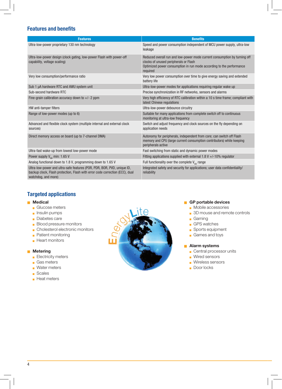#### **Features and benefits**

| <b>Features</b>                                                                                                                                                                | <b>Benefits</b>                                                                                                                                                                                        |
|--------------------------------------------------------------------------------------------------------------------------------------------------------------------------------|--------------------------------------------------------------------------------------------------------------------------------------------------------------------------------------------------------|
| Ultra-low-power proprietary 130 nm technology                                                                                                                                  | Speed and power consumption independent of MCU power supply, ultra-low<br>leakage                                                                                                                      |
| Ultra-low-power design (clock gating, low-power Flash with power-off<br>capability, voltage scaling)                                                                           | Reduced overall run and low-power mode current consumption by turning off<br>clocks of unused peripherals or Flash<br>Optimized power consumption in run mode according to the performance<br>required |
| Very low consumption/performance ratio                                                                                                                                         | Very low power consumption over time to give energy saving and extended<br>battery life                                                                                                                |
| Sub 1 µA hardware RTC and AWU system unit                                                                                                                                      | Ultra-low-power modes for applications requiring regular wake up                                                                                                                                       |
| Sub-second hardware RTC                                                                                                                                                        | Precise synchronization in RF networks, sensors and alarms                                                                                                                                             |
| Fine-grain calibration accuracy down to $+/- 2$ ppm                                                                                                                            | Very high efficiency of RTC calibration within a 10 s time frame; compliant with<br>latest Chinese regulations                                                                                         |
| HW anti-tamper filters                                                                                                                                                         | Ultra-low-power debounce circuitry                                                                                                                                                                     |
| Range of low-power modes (up to 6)                                                                                                                                             | Suitable for many applications from complete switch off to continuous<br>monitoring at ultra-low frequency                                                                                             |
| Advanced and flexible clock system (multiple internal and external clock<br>sources)                                                                                           | Switch and adjust frequency and clock sources on the fly depending on<br>application needs                                                                                                             |
| Direct memory access on board (up to 7-channel DMA)                                                                                                                            | Autonomy for peripherals, independent from core; can switch off Flash<br>memory and CPU (large current consumption contributors) while keeping<br>peripherals active                                   |
| Ultra-fast wake-up from lowest low-power mode                                                                                                                                  | Fast switching from static and dynamic power modes                                                                                                                                                     |
| Power supply $V_{nn}$ min: 1.65 V                                                                                                                                              | Fitting applications supplied with external 1.8 V $+/-10\%$ regulator                                                                                                                                  |
| Analog functional down to 1.8 V, programming down to 1.65 V                                                                                                                    | Full functionality over the complete $V_{\text{no}}$ range                                                                                                                                             |
| Ultra-low-power and ultra-safe features (POR, PDR, BOR, PVD, unique ID,<br>backup clock, Flash protection, Flash with error code correction (ECC), dual<br>watchdog, and more) | Integrated safety and security for applications; user data confidentiality/<br>reliability                                                                                                             |

#### **Targeted applications**

#### **Medical**

- **Glucose meters**
- $\blacksquare$  Insulin pumps
- Diabetes care
- **Blood pressure monitors**
- $\Box$  Cholesterol electronic monitors
- **Patient monitoring**
- $\blacksquare$  Heart monitors

#### **Metering**

- **Electricity meters**
- Gas meters
- $\blacksquare$  Water meters
- <sup>Q</sup> Scales
- **Heat meters**



#### **GP** portable devices

- **Mobile accessories**
- 3D mouse and remote controls
- **Gaming**
- GPS watches
- Sports equipment
- Games and toys

#### <sup>Q</sup> **Alarm systems**

- $\Box$  Central processor units
- **Wired sensors**
- **Wireless sensors**
- Door locks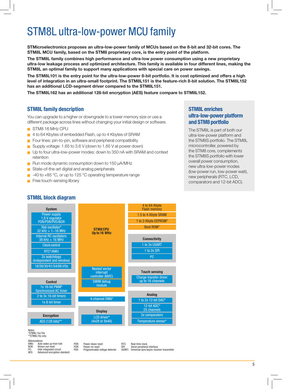## STM8L ultra‑low‑power MCU family

**STMicroelectronics proposes an ultra‑low‑power family of MCUs based on the 8‑bit and 32‑bit cores. The STM8L MCU family, based on the STM8 proprietary core, is the entry point of the platform.** 

**The STM8L family combines high performance and ultra‑low power consumption using a new proprietary ultra‑low leakage process and optimized architecture. This family is available in four different lines, making the STM8L an optimal family to support many applications with special care on power savings.**

**The STM8L101 is the entry point for the ultra‑low‑power 8‑bit portfolio. It is cost optimized and offers a high level of integration in an ultra‑small footprint. The STM8L151 is the feature‑rich 8‑bit solution. The STM8L152 has an additional LCD-segment driver compared to the STM8L151.**

**The STM8L162 has an additional 128-bit encryption (AES) feature compare to STM8L152.**

#### **STM8L family description**

You can upgrade to a higher or downgrade to a lower memory size or use a different package across lines without changing your initial design or software.

- STM8 16 MHz CPU
- 4 to 64 Kbytes of embedded Flash, up to 4 Kbytes of SRAM
- Four lines: pin-to-pin, software and peripheral compatibility
- Supply voltage: 1.65 to 3.6 V (down to 1.65 V at power down)
- Up to four ultra-low-power modes: down to 350 nA with SRAM and context retention
- <sup>Q</sup> Run mode dynamic consumption down to 150 μA/MHz
- State-of-the-art digital and analog peripherals
- -40 to +85 °C, or up to 125 °C operating temperature range
- Free touch-sensing library

#### **STM8L enriches ultra‑low‑power platform and STM8 portfolio**

The STM8L is part of both our ultra‑low‑power platform and the STM8S portfolio. The STM8L microcontroller, powered by the STM8 core, complements the STM8S portfolio with lower overall power consumption, new ultra‑low‑power modes (low‑power run, low‑power wait), new peripherals (RTC, LCD, comparators and 12‑bit ADC).



#### **STM8L block diagram**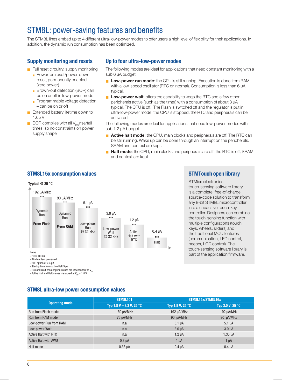## STM8L: power-saving features and benefits

The STM8L lines embed up to 4 different ultra-low-power modes to offer users a high level of flexibility for their applications. In addition, the dynamic run consumption has been optimized.

#### **Supply monitoring and resets**

- $\blacksquare$  Full reset circuitry, supply monitoring
	- Power-on reset/power-down reset, permanently enabled (zero power)
	- Brown-out detection (BOR) can be on or off in low‑power mode
	- $\blacksquare$  Programmable voltage detection – can be on or off
- $\blacksquare$  Extended battery lifetime down to 1.65 V
- $\blacksquare$  BOR complies with all V<sub>DD</sub> rise/fall times, so no constraints on power supply shape

#### **Up to four ultra‑low‑power modes**

The following modes are ideal for applications that need constant monitoring with a sub 6 μA budget.

- **Low-power run mode**: the CPU is still running. Execution is done from RAM with a low‑speed oscillator (RTC or internal). Consumption is less than 6 μA typical.
- **Low-power wait**: offers the capability to keep the RTC and a few other peripherals active (such as the timer) with a consumption of about 3 μA typical. The CPU is off. The Flash is switched off and the regulator is put in ultra‑low‑power mode, the CPU is stopped, the RTC and peripherals can be activated.

The following modes are ideal for applications that need low‑power modes with sub 1.2 μA budget.

- **Active halt mode**: the CPU, main clocks and peripherals are off. The RTC can be still running. Wake up can be done through an interrupt on the peripherals. SRAM and context are kept.
- **Halt mode**: the CPU, main clocks and peripherals are off, the RTC is off, SRAM and context are kept.

#### **STM8L15x consumption values**



#### **STMTouch open library**

STMicroelectronics' touch‑sensing software library is a complete, free-of-charge source‑code solution to transform any 8‑bit STM8L microcontroller into a capacitive touch‑key controller. Designers can combine the touch‑sensing function with multiple configurations (touch keys, wheels, sliders) and the traditional MCU features (communication, LED control, beeper, LCD control). The touch‑sensing software library is part of the application firmware.

- POR/PDR on

- RAM content preserved

- BOR option at 2.4 µA

- Startup time from active Halt 5 µs

- Run and Wait consumption values are independent of  $V_{\text{nn}}$ 

- Active Halt and Halt values measured at  $V_{\text{nn}} = 1.8$  V

#### **STM8L ultra‑low power consumption values**

**Operating mode STM8L101 STM8L15x/STM8L16x Typ 1.8 V – 3.3 V, 25 °C Typ 1.8 V, 25 °C Typ 3.0 V, 25 °C** Run from Flash mode 150 μ = 150 μA/MHz 192 μA/MHz 192 μA/MHz 192 μA/MHz 192 μA/MHz Run from RAM mode 75 µA/MHz 75 µA/MHz 90 µA/MHz 90 µA/MHz 90 µA/MHz Low‐power Run from RAM **n.a 5.1 µA 5.1 µA** 5.1 µA 5.1 µA Low‐power Wait 1. Internace in the community of the community of the community of the community of the community of the community of the community of the community of the community of the community of the community of th Active Halt with RTC **n.a 1.35 uA** 1.35 uA Active Halt with AWU 0.8 µA 1 µA 1 µA 1 µA Halt mode 0.35 µA 0.4 µA 0.4 µA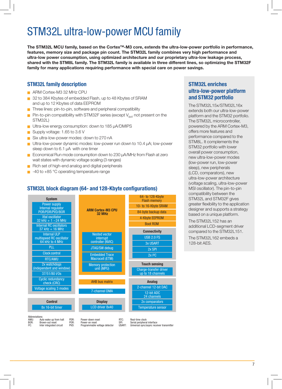## STM32L ultra‑low‑power MCU family

The STM32L MCU family, based on the Cortex<sup>™</sup>-M3 core, extends the ultra-low-power portfolio in performance, **features, memory size and package pin count. The STM32L family combines very high performance and ultra‑low power consumption, using optimized architecture and our proprietary ultra‑low leakage process, shared with the STM8L family. The STM32L family is available in three different lines, so optimizing the STM32F family for many applications requiring performance with special care on power savings.**

#### **STM32L family description**

- ARM Cortex-M3 32 MHz CPU
- 32 to 384 Kbytes of embedded Flash, up to 48 Kbytes of SRAM and up to 12 Kbytes of data EEPROM
- Three lines: pin-to-pin, software and peripheral compatibility
- Pin-to-pin compatibility with STM32F series (except  $V_{par}$  not present on the STM32L)
- Ultra-low energy consumption: down to 185 µA/DMIPS
- Supply voltage: 1.65 to 3.6 V

BOR: Brown-out reset Inter integrated circuit

- Six ultra-low-power modes: down to 270 nA
- Ultra-low-power dynamic modes: low-power run down to 10.4 µA; low-power sleep down to 6.1 µA with one timer
- $\blacksquare$  Economical Run mode consumption down to 230 μA/MHz from Flash at zero wait states with dynamic voltage scaling (3 ranges)
- Rich set of high-end analog and digital peripherals
- -40 to +85 °C operating temperature range

#### **STM32L block diagram (64- and 128-Kbyte configurations)**



POR: Power-on reset<br>PVD: Programmable

Programmable voltage detector

SPI: Serial peripheral interface<br>
ISART: Iniversal sync/async rece Universal sync/async receiver transmitter

#### **STM32L enriches ultra‑low‑power platform and STM32 portfolio**

The STM32L15x/STM32L16x extends both our ultra‑low‑power platform and the STM32 portfolio. The STM32L microcontroller, powered by the ARM Cortex‑M3, offers more features and performance compared to the STM8L. It complements the STM32 portfolio with lower overall power consumption, new ultra‑low‑power modes (low‑power run, low‑power sleep), new peripherals (LCD, comparators), new ultra‑low‑power architecture (voltage scaling, ultra‑low-power MSI oscillator). The pin-to-pin compatibility between the STM32L and STM32F gives greater flexibility to the application designer and supports a strategy based on a unique platform.

The STM32L152 has an additional LCD-segment driver compared to the STM32L151.

The STM32L162 embeds a 128-bit AES.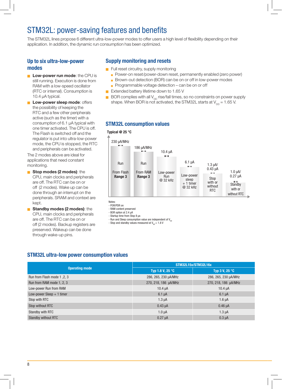## STM32L: power-saving features and benefits

The STM32L lines propose 6 different ultra-low-power modes to offer users a high level of flexibility depending on their application. In addition, the dynamic run consumption has been optimized.

#### **Up to six ultra‑low‑power modes**

- **Low-power run mode:** the CPU is still running. Execution is done from RAM with a low‑speed oscillator (RTC or internal). Consumption is 10.4 μA typical.
- **Low-power sleep mode: offers** the possibility of keeping the RTC and a few other peripherals active (such as the timer) with a consumption of 6.1 μA typical with one timer activated. The CPU is off. The Flash is switched off and the regulator is put into ultra‑low‑power mode, the CPU is stopped, the RTC and peripherals can be activated.

The 2 modes above are ideal for applications that need constant monitoring.

- **G** Stop modes (2 modes): the CPU, main clocks and peripherals are off. The RTC can be on or off (2 modes). Wake up can be done through an interrupt on the peripherals. SRAM and context are kept.
- **Get Standby modes (2 modes): the** CPU, main clocks and peripherals are off. The RTC can be on or off (2 modes). Backup registers are preserved. Wakeup can be done through wake‑up pins.

#### **Supply monitoring and resets**

- $\blacksquare$  Full reset circuitry, supply monitoring
	- Power-on reset/power-down reset, permanently enabled (zero power)
	- Brown-out detection (BOR) can be on or off in low-power modes
	- Programmable voltage detection can be on or off
- $\blacksquare$  Extended battery lifetime down to 1.65 V
- $\blacksquare$  BOR complies with all V<sub>DD</sub> rise/fall times, so no constraints on power supply shape. When BOR is not activated, the STM32L starts at  $V_{\text{on}} = 1.65$  V.

#### **STM32L consumption values**

#### **Typical @ 25 °C**



Notes:

- BOR option at 2.4 µA

- Startup time from Stop 8 µs

- Run and Sleep consumption value are independent of  $V_{\text{nn}}$ 

- Stop and standby values measured at  $V_{\text{nn}} = 1.8 V$ 

#### **STM32L ultra‑low power consumption values**

|                             | STM32L15x/STM32L16x        |                      |  |  |  |  |  |
|-----------------------------|----------------------------|----------------------|--|--|--|--|--|
| <b>Operating mode</b>       | Typ 1.8 V, 25 $^{\circ}$ C | Typ 3 V, 25 °C       |  |  |  |  |  |
| Run from Flash mode 1, 2, 3 | 286, 265, 230 µA/MHz       | 286, 265, 230 µA/MHz |  |  |  |  |  |
| Run from RAM mode 1, 2, 3   | 270, 218, 186 µA/MHz       | 270, 218, 186 µA/MHz |  |  |  |  |  |
| Low-power Run from RAM      | $10.4 \mu A$               | $10.4 \mu A$         |  |  |  |  |  |
| Low-power Sleep $+1$ timer  | $6.1 \mu A$                | $6.1 \mu A$          |  |  |  |  |  |
| Stop with RTC               | $1.3 \mu A$                | $1.6 \mu A$          |  |  |  |  |  |
| Stop without RTC            | $0.43 \mu A$               | $0.46 \mu A$         |  |  |  |  |  |
| Standby with RTC            | $1.0 \mu A$                | $1.3 \mu A$          |  |  |  |  |  |
| Standby without RTC         | $0.27 \mu A$               | $0.3 \mu A$          |  |  |  |  |  |

<sup>-</sup> POR/PDR on - RAM content preserved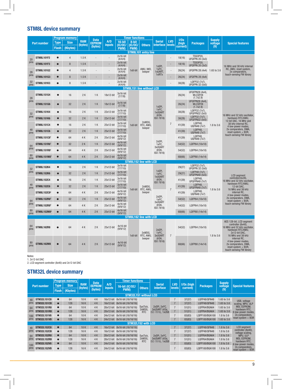#### **STM8L device summary**

|            |                         |              | <b>Program memory</b> |                       | Data          |                      |                        | <b>Timer functions</b> |                                  |                                           |                      | 1/0s           |                                           | <b>Supply</b>                  |                                                                                                                                     |                                                                    |
|------------|-------------------------|--------------|-----------------------|-----------------------|---------------|----------------------|------------------------|------------------------|----------------------------------|-------------------------------------------|----------------------|----------------|-------------------------------------------|--------------------------------|-------------------------------------------------------------------------------------------------------------------------------------|--------------------------------------------------------------------|
|            | <b>Part number</b>      | <b>Type</b>  | <b>Size</b>           | <b>RAM</b><br>(bytes) | <b>EEPROM</b> | A/D<br><b>inputs</b> | 16-bit<br>(IC/OC/      | 8-bit<br>(IC/OC)       | <b>Others</b>                    | <b>Serial</b><br><i>interface</i>         | <b>LVD</b><br>levels | (high          | <b>Packages</b>                           | voltage                        | <b>Special features</b>                                                                                                             |                                                                    |
|            |                         | <b>Flash</b> | (Kbytes)              |                       | (bytes)       |                      | PWM)                   | PWM)                   |                                  |                                           |                      | current)       |                                           | (V)                            |                                                                                                                                     |                                                                    |
|            | <b>STM8L101F2</b>       | $\bullet$    | $\overline{4}$        | 1.5K                  |               |                      | $2x16-bit$             |                        | <b>STM8L101 entry line</b>       |                                           | Ē,                   | 18(16)         | TSS0P20,                                  |                                |                                                                                                                                     |                                                                    |
| 20<br>pins | <b>STM8L101F3</b>       | $\bullet$    | 8                     | 1.5K                  |               |                      | (4/4/4)<br>$2x16-bit$  |                        |                                  |                                           | ÷,                   |                | <b>UFQFPN 20 (3x3)</b><br><b>TSSOP20.</b> |                                |                                                                                                                                     |                                                                    |
|            |                         |              |                       |                       |               |                      | (4/4/4)<br>$2x16-bit$  |                        | AWU. IWD.                        | 1xSPI,<br>$1x$ <sup>2</sup> C.            |                      | 18(16)         | <b>UFQFPN 20 (3x3)</b>                    |                                | 16 MHz and 38 kHz internal<br>RC, AWU, reset system,                                                                                |                                                                    |
| 28<br>pins | <b>STM8L101G2</b>       | $\bullet$    | 4                     | 1.5K                  |               |                      | (4/4/4)<br>$2x16-bit$  | 1x8-bit                | beeper                           | 1xUART.<br>1xIRT <sub>x</sub>             |                      | 26(24)         | <b>UFQFPN 28 (4x4)</b>                    | 1.65 to 3.6                    | 2x comparators.<br>touch-sensing FW library                                                                                         |                                                                    |
| 32         | <b>STM8L101G3</b>       | $\bullet$    | 8                     | 1.5K                  |               |                      | (4/4/4)<br>$2x16-bit$  |                        |                                  |                                           | ÷,                   | 26(24)         | <b>UFQFPN 28 (4x4)</b>                    |                                |                                                                                                                                     |                                                                    |
| pins       | <b>STM8L101K3</b>       | $\bullet$    | 8                     | 1.5K                  |               | $\overline{a}$       | (4/4/4)                |                        |                                  |                                           |                      | 30(28)         | LQFP32 (7x7),<br><b>UFQFPN 32 (5x5)</b>   |                                |                                                                                                                                     |                                                                    |
|            |                         |              |                       |                       |               |                      |                        |                        | <b>STM8L151 line without LCD</b> |                                           |                      |                | UFQFPN28 (4x4),                           |                                |                                                                                                                                     |                                                                    |
| 28         | <b>STM8L151G4</b>       | $\bullet$    | 16                    | 2K                    | 1K            | 18x12-bit            | 3x16-bit<br>(7/7/8)    |                        |                                  |                                           |                      | 26(24)         | WLCSP28<br>(1.7x2.9)                      |                                |                                                                                                                                     |                                                                    |
| pins       | <b>STM8L151G6</b>       | $\bullet$    | 32                    | 2K                    | 1K            | 18x12-bit            | 3x16-bit<br>(7/7/8)    |                        |                                  | 1xSPI,                                    |                      | 26(24)         | UFQFPN28 (4x4),<br>WLCSP28<br>(1.7x2.9)   |                                |                                                                                                                                     |                                                                    |
| 32         | <b>STM8L151K4</b>       | $\bullet$    | 16                    | 2K                    | 1K            | 22x12-bit            | 3x16-bit<br>(7/7/10)   |                        |                                  | $1x$ <sup>2</sup> C.<br>1xUSART           |                      | 30(28)         | LQFP32 (7x7),<br><b>UFQFPN32 (5x5)</b>    |                                |                                                                                                                                     |                                                                    |
| pins       | <b>STM8L151K6</b>       | $\bullet$    | 32                    | 2K                    | 1K            | 22x12-bit            | 3x16-bit<br>(7/7/10)   |                        |                                  | (IrDA,<br>ISO 7816)                       |                      | 30(28)         | LQFP32 (7x7),<br><b>UFQFPN32 (5x5)</b>    |                                | 16 MHz and 32 kHz oscillator.<br>hardware RTC/AWU.                                                                                  |                                                                    |
|            | <b>STM8L151C4</b>       | $\bullet$    | 16                    | 2K                    | 1 K           | 25x12-bit            | $3x16-bit$<br>(7/7/10) | 1x8-bit                | 2xWDG.<br>RTC, AWU,              |                                           |                      | $\overline{7}$ | 41(39)                                    | LQFP48.<br><b>UQFN48 (7x7)</b> | 1.8 to 3.6                                                                                                                          | 12-bit DAC, 16 MHz and<br>38 kHz internal RC,<br>4 low-power modes |
| 48<br>pins | <b>STM8L151C6</b>       | $\bullet$    | 32                    | 2K                    | 1K            | 25x12-bit            | 3x16-bit<br>(7/7/10)   |                        | beeper                           |                                           |                      | 41(39)         | LQFP48.<br><b>UQFN48 (7x7)</b>            |                                | 2x comparators, DMA,<br>reset system $+$ BOR,                                                                                       |                                                                    |
|            | STM8L151C81             | $\bullet$    | 64                    | 4 K                   | 2K            | 25x12-bit            | 4x16-bit<br>(9/9/12)   |                        |                                  |                                           |                      | 41(39)         | LQFP48,<br><b>UQFN48 (7x7)</b>            |                                | touch-sensing FW library                                                                                                            |                                                                    |
| 64         | STM8L151R61             | $\bullet$    | 32                    | 2K                    | 1K            | 25x12-bit            | 4x16-bit<br>(9/9/12)   |                        |                                  | 2xSPI,<br>$1x$ <sup>2</sup> C.            |                      | 54(52)         | LQFP64 (10x10)                            |                                |                                                                                                                                     |                                                                    |
| pins       | STM8L151R81             | $\bullet$    | 64                    | 4K                    | 2K            | 25x12-bit            | 4x16-bit<br>(9/9/12)   |                        |                                  | 3xUSART<br>(IrDA,<br>ISO 7816)            |                      | 54(52)         | LQFP64 (10x10)                            |                                |                                                                                                                                     |                                                                    |
| 80<br>pins | <b>STM8L151M81</b>      | $\bullet$    | 64                    | 4K                    | 2K            | 25x12-bit            | $4x16-bit$<br>(9/9/12) |                        |                                  |                                           |                      | 68(66)         | LQFP80 (14x14)                            |                                |                                                                                                                                     |                                                                    |
|            |                         |              |                       |                       |               |                      |                        |                        | <b>STM8L152 line with LCD</b>    |                                           |                      |                |                                           |                                |                                                                                                                                     |                                                                    |
| 32         | <b>STM8L152K4</b>       | $\bullet$    | 16                    | 2K                    | 1 K           | $21x12-bit$          | 3x16-bit<br>(7/7/10)   |                        |                                  |                                           |                      | 29(27)         | LQFP32 (7x7),<br><b>UFQFPN 32 (5x5)</b>   |                                |                                                                                                                                     |                                                                    |
| pins       | <b>STM8L152K6</b>       | $\bullet$    | 32                    | 2K                    | 1K            | $21x12-bit$          | 3x16-bit<br>(7/7/10)   |                        |                                  | 1xSPI.<br>$1x$ <sup>2</sup> C.<br>1xUSART |                      | 29(27)         | LQFP48 (7x7),<br><b>UFQFPN48 (5x5)</b>    |                                | <b>LCD</b> segment                                                                                                                  |                                                                    |
|            | <b>STM8L152C4</b>       | $\bullet$    | 16                    | 2K                    | 1K            | 25x12-bit            | 3x16-bit<br>(7/7/10)   |                        |                                  | (IrDA,<br>ISO 7816)                       |                      | 41(39)         | LQFP48.<br>UFQFPN48 (7x7)                 |                                | controller(4x28).<br>16 MHz and 32 kHz oscillator,                                                                                  |                                                                    |
| 48<br>pins | <b>STM8L152C6</b>       | $\bullet$    | 32                    | 2K                    | 1K            | 25x12-bit            | 3x16-bit<br>(7/7/10)   | 1x8-bit                | 2xWDG.                           |                                           | $\overline{7}$       | 41(39)         | LQFP48.<br><b>UFQFPN48 (7x7)</b>          | 1.8 to 3.6                     | hardware RTC/AWU,<br>12-bit DAC,                                                                                                    |                                                                    |
|            | STM8L152C8 <sup>2</sup> | $\bullet$    | 64                    | 4 K                   | 2K            | 25x12-bit            | 4x16-bit<br>(9/9/12)   |                        | RTC, AWU,<br>beeper              |                                           |                      | 41(39)         | LQFP48<br><b>UQFN48 (7x7)</b>             |                                | 16 MHz and 38 kHz<br>internal RC.<br>4 low-power modes.                                                                             |                                                                    |
| 64         | STM8L152R6 <sup>2</sup> | $\bullet$    | 32                    | 2K                    | 1K            | 25x12-bit            | 4x16-bit<br>(9/9/12)   |                        |                                  | 2xSPI,<br>$1x$ <sup>2</sup> C.            |                      | 54(52)         | LQFP64 (10x10)                            |                                | 2x comparators, DMA,<br>reset system + BOR,                                                                                         |                                                                    |
| pins       | STM8L152R8 <sup>2</sup> | $\bullet$    | 64                    | 4K                    | 2K            | 25x12-bit            | 4x16-bit<br>(9/9/12)   |                        |                                  | 3xUSART<br>(IrDA,<br>ISO 7816)            |                      | 54(52)         | LQFP64 (10x10)                            |                                | touch-sensing FW library                                                                                                            |                                                                    |
| 80<br>pins | STM8L152M8 <sup>2</sup> | $\bullet$    | 64                    | 4K                    | 2K            | 25x12-bit            | 4x16-bit<br>(9/9/12)   |                        |                                  |                                           |                      | 68(66)         | LQFP80 (14x14)                            |                                |                                                                                                                                     |                                                                    |
|            |                         |              |                       |                       |               |                      |                        |                        | <b>STM8L162 line with LCD</b>    |                                           |                      |                |                                           |                                |                                                                                                                                     |                                                                    |
| 64<br>pins | <b>STM8L162R8</b>       | $\bullet$    | 64                    | 4K                    | 2K            | 25x12-bit            | 4x16-bit<br>(9/9/12)   |                        | 2xWDG.                           | 2xSPI,<br>$1xI^2C$                        |                      | 54(52)         | LQFP64 (10x10)                            |                                | AES 128-bit, LCD segment<br>controller (8x40),<br>16 MHz and 32 kHz oscillator,<br>hardware RTC/AWU,<br>2x12-bit DAC,               |                                                                    |
| 80<br>pins | <b>STM8L162M8</b>       | $\bullet$    | 64                    | 4K                    | 2K            | 25x12-bit            | 4x16-bit<br>(9/9/12)   | 1x8-bit                | RTC, AWU,<br>beeper              | 3xUSART<br>(IrDA,<br>ISO 7816)            | $\sqrt{7}$           | 68(66)         | LQFP80 (14x14)                            | 1.8 to 3.6                     | 16 MHz and 38 kHz<br>internal RC.<br>4 low-power modes<br>2x comparators, DMA,<br>reset system $+$ BOR.<br>touch-sensing FW library |                                                                    |

Notes: 1. 2x12-bit DAC 2. LCD segment controller (8x40) and 2x12-bit DAC

#### **STM32L device summary**

| <b>Part number</b> |                    |              | <b>Program memory</b> |                       | <b>Data</b>   |                      | <b>Timer functions</b>        |                      |                                                                  |                             |                        |                 |                   |                                         |
|--------------------|--------------------|--------------|-----------------------|-----------------------|---------------|----------------------|-------------------------------|----------------------|------------------------------------------------------------------|-----------------------------|------------------------|-----------------|-------------------|-----------------------------------------|
|                    |                    | <b>Type</b>  | <b>Size</b>           | <b>RAM</b><br>(bytes) | <b>EEPROM</b> | A/D<br><b>inputs</b> | 16-bit (IC/OC/                | <b>Others</b>        | <b>Serial</b><br><i>interface</i>                                | <b>LVD</b><br><b>levels</b> | I/Os (high<br>current) | <b>Packages</b> | Supply<br>voltage | <b>Special features</b>                 |
|                    |                    | <b>Flash</b> | (Kbytes)              |                       | (bytes)       |                      | PWM)                          |                      |                                                                  |                             |                        |                 | (V)               |                                         |
|                    |                    |              |                       |                       |               |                      | <b>STM32L151 without LCD</b>  |                      |                                                                  |                             |                        |                 |                   |                                         |
| $\overline{AB}$    | <b>STM32L151C8</b> | $\bullet$    | 64                    | 10K                   | 4K            |                      | 16x12-bit 8x16-bit (16/16/16) |                      |                                                                  | $\overline{7}$              | 37(37)                 | LQFP48/QFN48    | 1.65 to 3.6       | USB, voltage                            |
| pins               | <b>STM32L151CB</b> | $\bullet$    | 128                   | 16K                   | 4K            |                      | 16x12-bit 8x16-bit (16/16/16) |                      |                                                                  | $\overline{7}$              | 37(37)                 | LQFP48/QFN48    | 1.65 to 3.6       | scaling, MPU, ULP                       |
| 64                 | <b>STM32L151R8</b> | $\bullet$    | 64                    | 10K                   | 4K            |                      | 20x12-bit 8x16-bit (16/16/16) | SysTick,             | 2xSPI, 2xl <sup>2</sup> C.<br>3xUSART (IrDa,<br>ISO 7816), 1xUSB |                             | 51(51)                 | LQFP64/BGA64    | 1.65 to 3.6       | MSI. EEPROM.<br>hardware RTC.           |
| pins               | <b>STM32L151RB</b> | $\bullet$    | 128                   | 16K                   | 4K            |                      | 20x12-bit 8x16-bit (16/16/16) | 2xWDG,<br><b>RTC</b> |                                                                  |                             | 51(51)                 | LQFP64/BGA64    | 1.65 to 3.6       | 6 low-power modes,                      |
| 100                | <b>STM32L151V8</b> | $\bullet$    | 64                    | 10K                   | 4K            |                      | 24x12-bit 8x16-bit (16/16/16) |                      |                                                                  |                             | 83(83)                 | LQFP100/BGA100  | 1.8 to 3.6        | 2x comparators,                         |
| pins               | <b>STM32L151VB</b> | $\bullet$    | 128                   | 16K                   | 4K            |                      | 24x12-bit 8x16-bit (16/16/16) |                      |                                                                  |                             | 83(83)                 | LQFP100/BGA100  | 1.65 to 3.6       | reset system $+$ BOR                    |
|                    |                    |              |                       |                       |               |                      |                               | STM32L152 with LCD   |                                                                  |                             |                        |                 |                   |                                         |
| 48                 | <b>STM32L152C8</b> | $\bullet$    | 64                    | 10K                   | 4K            |                      | 16x12-bit 8x16-bit (16/16/16) |                      |                                                                  |                             | 37(37)                 | LQFP48/QFN48    | $1.8$ to $3.6$    | <b>LCD</b> segment                      |
| pins               | <b>STM32L152CB</b> | $\bullet$    | 128                   | 16K                   | 4K            |                      | 16x12-bit 8x16-bit (16/16/16) |                      |                                                                  | $\overline{7}$              | 37(37)                 | LQFP48/QFN48    | 1.8 to 3.6        | controller (8x40),<br>voltage scaling,  |
| 64                 | <b>STM32L152R8</b> | $\bullet$    | 64                    | 10K                   | 4K            |                      | 20x12-bit 8x16-bit (16/16/16) | SvsTick.             | 2xSPI, 2xl <sup>2</sup> C.                                       | 7                           | 51(51)                 | LQFP64/BGA64    | $1.8$ to $3.6$    | MPU, ULP                                |
| pins               | <b>STM32L152RB</b> | $\bullet$    | 128                   | 16K                   | 4K            |                      | 20x12-bit 8x16-bit (16/16/16) | 2xWDG,<br>RTC        | 3xUSART (IrDa,<br>ISO 7816), 1xUSB                               | $\overline{7}$              | 51(51)                 | LQFP64/BGA64    | 1.8 to 3.6        | MSI. EEPROM.<br>hardware RTC,           |
| 100                | <b>STM32L152V8</b> | $\bullet$    | 64                    | 10K                   | 4K            |                      | 24x12-bit 8x16-bit (16/16/16) |                      |                                                                  | $\overline{7}$              | 83(83)                 | LQFP100/BGA100  | 1.8 to 3.6        | 6 low-power modes,                      |
| pins               | <b>STM32L152VB</b> | $\bullet$    | 128                   | 16K                   | 4K            |                      | 24x12-bit 8x16-bit (16/16/16) |                      |                                                                  |                             | 83(83)                 | LQFP100/BGA100  | 1.8 to 3.6        | 2x comparators,<br>reset system $+$ BOR |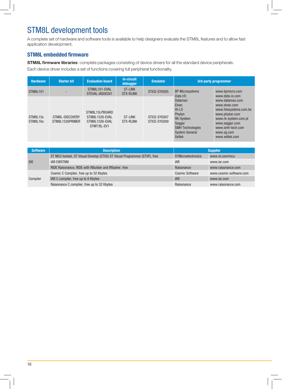## STM8L development tools

A complete set of hardware and software tools is available to help designers evaluate the STM8L features and to allow fast application development.

#### **STM8L embedded firmware**

**STM8L firmware libraries**: complete packages consisting of device drivers for all the standard device peripherals.

Each device driver includes a set of functions covering full peripheral functionality.

| <b>Hardware</b><br><b>Starter kit</b> |                                    | <b>Evaluation board</b>                                           | In-circuit<br>debugger             | <b>Emulator</b>              | 3rd-party programmer                                                                                                                      |                                                                                                                                                                            |  |  |
|---------------------------------------|------------------------------------|-------------------------------------------------------------------|------------------------------------|------------------------------|-------------------------------------------------------------------------------------------------------------------------------------------|----------------------------------------------------------------------------------------------------------------------------------------------------------------------------|--|--|
| <b>STM8L101</b>                       |                                    | STM8L101-EVAL<br>STEVAL-IAS003V1                                  | <b>ST-LINK</b><br><b>STX-RLINK</b> | STICE-SYS005                 | <b>BP Microsystems</b><br>Data I/O                                                                                                        | www.bpmicro.com<br>www.data-io.com                                                                                                                                         |  |  |
| STM8L15x<br>STM8L16x                  | STM8L-DISCOVERY<br>STM8L1526PRIMER | STM8L15LPB0ARD<br>STM8L1526-EVAL<br>STM8L1526-EVAL<br>STMT/8L-EV1 | <b>ST-LINK</b><br><b>STX-RLINK</b> | STICE-SYS007<br>STICE-SYS009 | Dataman<br><b>Elnec</b><br>$HI$ -LO<br>Phyton<br><b>RK-System</b><br>Segger<br><b>SMH Technologies</b><br>System General<br><b>Xeltek</b> | www.dataman.com<br>www.elnec.com<br>www.hilosystems.com.tw<br>www.phyton.com<br>www.rk-system.com.pl<br>www.segger.com<br>www.smh-tech.com<br>www.sq.com<br>www.xeltek.com |  |  |

| <b>Software</b> | <b>Description</b>                                                         | <b>Supplier</b>           |                         |  |  |
|-----------------|----------------------------------------------------------------------------|---------------------------|-------------------------|--|--|
| <b>IDE</b>      | ST MCU toolset, ST Visual Develop (STVD) ST Visual Programmer (STVP), free | <b>STMicroelectronics</b> | www.st.com/mcu          |  |  |
|                 | <b>IAR EWSTM8</b>                                                          | <b>IAR</b>                | www.jar.com             |  |  |
|                 | RIDE Raisonance, RIDE with RBuilder and Rflasher, free                     | Raisonance                | www.raisonance.com      |  |  |
|                 | Cosmic C Compiler, free up to 32 Kbytes                                    | <b>Cosmic Software</b>    | www.cosmic-software.com |  |  |
| Compiler        | IAR C compiler, free up to 8 Kbytes                                        | <b>IAR</b>                | www.jar.com             |  |  |
|                 | Raisonance C complier, free up to 32 Kbytes                                | Raisonance                | www.raisonance.com      |  |  |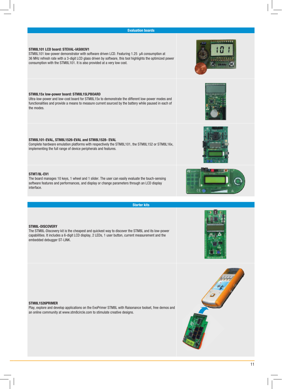

**Starter kits**

#### **STM8L101 LCD board: STEVAL‑IAS003V1**

STM8L101 low-power demonstrator with software driven LCD. Featuring 1.25 µA consumption at 36 MHz refresh rate with a 3‑digit LCD glass driven by software, this tool highlights the optimized power consumption with the STM8L101. It is also provided at a very low cost.

#### **STM8L15x low‑power board: STM8L15LPBOARD**

Ultra‑low‑power and low‑cost board for STM8L15x to demonstrate the different low‑power modes and functionalities and provide a means to measure current sourced by the battery while paused in each of the modes.

#### **STM8L101‑EVAL, STM8L1526‑EVAL and STM8L1528- EVAL**

Complete hardware emulation platforms with respectively the STM8L101, the STM8L152 or STM8L16x, implementing the full range of device peripherals and features.

#### **STMT/8L-EV1**

The board manages 10 keys, 1 wheel and 1 slider. The user can easily evaluate the touch-sensing software features and performances, and display or change parameters through an LCD display interface.

#### **STM8L‑DISCOVERY**

The STM8L-Discovery kit is the cheapest and quickest way to discover the STM8L and its low-power capabilities. It includes a 6‑digit LCD display, 2 LEDs, 1 user button, current measurement and the embedded debugger ST‑LINK.

#### **STM8L1526PRIMER**

Play, explore and develop applications on the EvoPrimer STM8L with Raisonance toolset, free demos and an online community at www.stm8circle.com to stimulate creative designs.